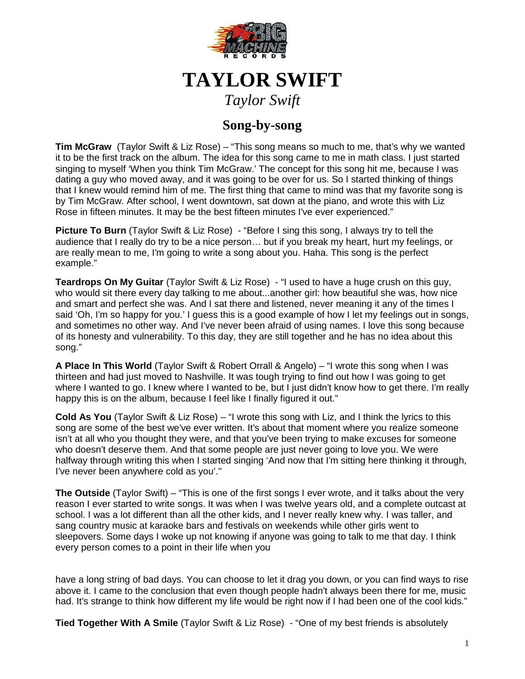

## **TAYLOR SWIFT**

*Taylor Swift*

## **Song-by-song**

**Tim McGraw** (Taylor Swift & Liz Rose) – "This song means so much to me, that's why we wanted it to be the first track on the album. The idea for this song came to me in math class. I just started singing to myself 'When you think Tim McGraw.' The concept for this song hit me, because I was dating a guy who moved away, and it was going to be over for us. So I started thinking of things that I knew would remind him of me. The first thing that came to mind was that my favorite song is by Tim McGraw. After school, I went downtown, sat down at the piano, and wrote this with Liz Rose in fifteen minutes. It may be the best fifteen minutes I've ever experienced."

**Picture To Burn** (Taylor Swift & Liz Rose) - "Before I sing this song, I always try to tell the audience that I really do try to be a nice person… but if you break my heart, hurt my feelings, or are really mean to me, I'm going to write a song about you. Haha. This song is the perfect example."

**Teardrops On My Guitar** (Taylor Swift & Liz Rose) - "I used to have a huge crush on this guy, who would sit there every day talking to me about...another girl: how beautiful she was, how nice and smart and perfect she was. And I sat there and listened, never meaning it any of the times I said 'Oh, I'm so happy for you.' I guess this is a good example of how I let my feelings out in songs, and sometimes no other way. And I've never been afraid of using names. I love this song because of its honesty and vulnerability. To this day, they are still together and he has no idea about this song."

**A Place In This World** (Taylor Swift & Robert Orrall & Angelo) – "I wrote this song when I was thirteen and had just moved to Nashville. It was tough trying to find out how I was going to get where I wanted to go. I knew where I wanted to be, but I just didn't know how to get there. I'm really happy this is on the album, because I feel like I finally figured it out."

**Cold As You** (Taylor Swift & Liz Rose) – "I wrote this song with Liz, and I think the lyrics to this song are some of the best we've ever written. It's about that moment where you realize someone isn't at all who you thought they were, and that you've been trying to make excuses for someone who doesn't deserve them. And that some people are just never going to love you. We were halfway through writing this when I started singing 'And now that I'm sitting here thinking it through, I've never been anywhere cold as you'."

**The Outside** (Taylor Swift) – "This is one of the first songs I ever wrote, and it talks about the very reason I ever started to write songs. It was when I was twelve years old, and a complete outcast at school. I was a lot different than all the other kids, and I never really knew why. I was taller, and sang country music at karaoke bars and festivals on weekends while other girls went to sleepovers. Some days I woke up not knowing if anyone was going to talk to me that day. I think every person comes to a point in their life when you

have a long string of bad days. You can choose to let it drag you down, or you can find ways to rise above it. I came to the conclusion that even though people hadn't always been there for me, music had. It's strange to think how different my life would be right now if I had been one of the cool kids."

**Tied Together With A Smile** (Taylor Swift & Liz Rose) - "One of my best friends is absolutely